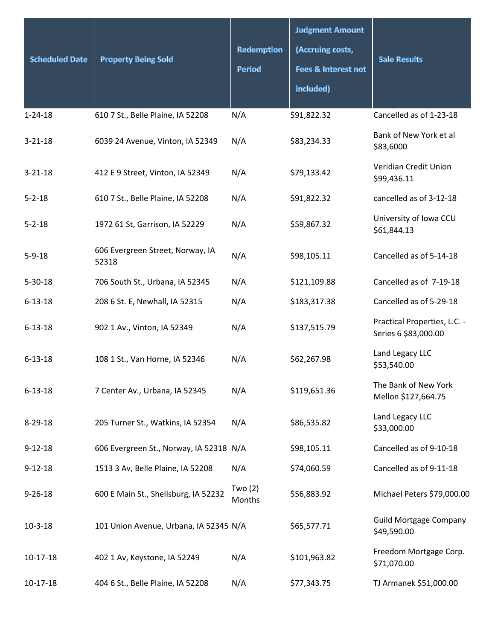| <b>Scheduled Date</b> | <b>Property Being Sold</b>                | <b>Redemption</b><br><b>Period</b> | <b>Judgment Amount</b><br>(Accruing costs,<br><b>Fees &amp; Interest not</b><br>included) | <b>Sale Results</b>                                  |
|-----------------------|-------------------------------------------|------------------------------------|-------------------------------------------------------------------------------------------|------------------------------------------------------|
| $1 - 24 - 18$         | 610 7 St., Belle Plaine, IA 52208         | N/A                                | \$91,822.32                                                                               | Cancelled as of 1-23-18                              |
| $3 - 21 - 18$         | 6039 24 Avenue, Vinton, IA 52349          | N/A                                | \$83,234.33                                                                               | Bank of New York et al<br>\$83,6000                  |
| $3 - 21 - 18$         | 412 E 9 Street, Vinton, IA 52349          | N/A                                | \$79,133.42                                                                               | Veridian Credit Union<br>\$99,436.11                 |
| $5 - 2 - 18$          | 610 7 St., Belle Plaine, IA 52208         | N/A                                | \$91,822.32                                                                               | cancelled as of 3-12-18                              |
| $5 - 2 - 18$          | 1972 61 St, Garrison, IA 52229            | N/A                                | \$59,867.32                                                                               | University of Iowa CCU<br>\$61,844.13                |
| $5 - 9 - 18$          | 606 Evergreen Street, Norway, IA<br>52318 | N/A                                | \$98,105.11                                                                               | Cancelled as of 5-14-18                              |
| $5 - 30 - 18$         | 706 South St., Urbana, IA 52345           | N/A                                | \$121,109.88                                                                              | Cancelled as of 7-19-18                              |
| $6 - 13 - 18$         | 208 6 St. E, Newhall, IA 52315            | N/A                                | \$183,317.38                                                                              | Cancelled as of 5-29-18                              |
| $6 - 13 - 18$         | 902 1 Av., Vinton, IA 52349               | N/A                                | \$137,515.79                                                                              | Practical Properties, L.C. -<br>Series 6 \$83,000.00 |
| $6 - 13 - 18$         | 108 1 St., Van Horne, IA 52346            | N/A                                | \$62,267.98                                                                               | Land Legacy LLC<br>\$53,540.00                       |
| $6 - 13 - 18$         | 7 Center Av., Urbana, IA 52345            | N/A                                | \$119,651.36                                                                              | The Bank of New York<br>Mellon \$127,664.75          |
| $8 - 29 - 18$         | 205 Turner St., Watkins, IA 52354         | N/A                                | \$86,535.82                                                                               | Land Legacy LLC<br>\$33,000.00                       |
| $9 - 12 - 18$         | 606 Evergreen St., Norway, IA 52318 N/A   |                                    | \$98,105.11                                                                               | Cancelled as of 9-10-18                              |
| $9 - 12 - 18$         | 1513 3 Av, Belle Plaine, IA 52208         | N/A                                | \$74,060.59                                                                               | Cancelled as of 9-11-18                              |
| $9 - 26 - 18$         | 600 E Main St., Shellsburg, IA 52232      | Two $(2)$<br>Months                | \$56,883.92                                                                               | Michael Peters \$79,000.00                           |
| $10 - 3 - 18$         | 101 Union Avenue, Urbana, IA 52345 N/A    |                                    | \$65,577.71                                                                               | <b>Guild Mortgage Company</b><br>\$49,590.00         |
| 10-17-18              | 402 1 Av, Keystone, IA 52249              | N/A                                | \$101,963.82                                                                              | Freedom Mortgage Corp.<br>\$71,070.00                |
| 10-17-18              | 404 6 St., Belle Plaine, IA 52208         | N/A                                | \$77,343.75                                                                               | TJ Armanek \$51,000.00                               |